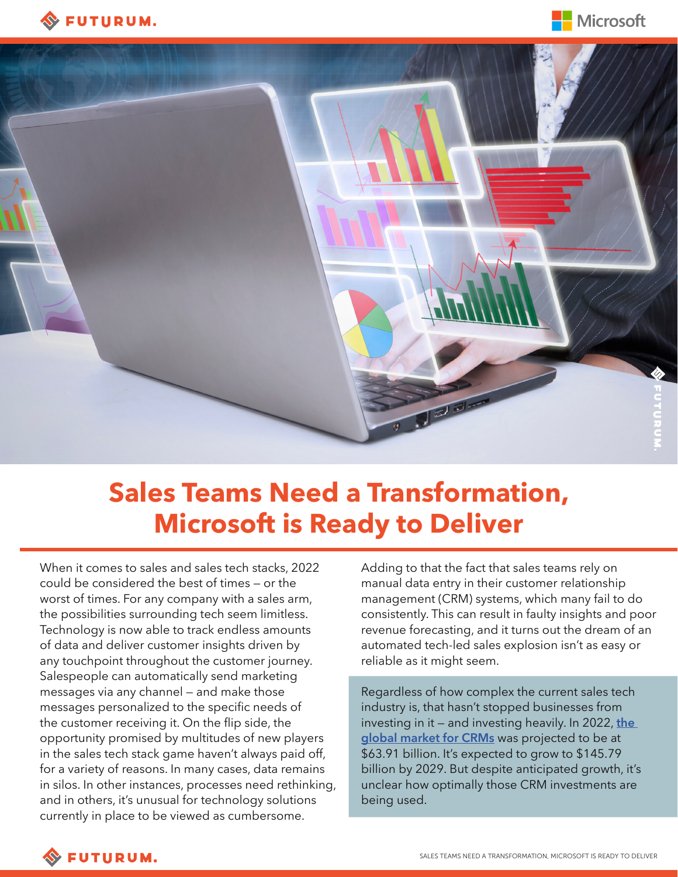





# **Sales Teams Need a Transformation, Microsoft is Ready to Deliver**

When it comes to sales and sales tech stacks, 2022 could be considered the best of times — or the worst of times. For any company with a sales arm, the possibilities surrounding tech seem limitless. Technology is now able to track endless amounts of data and deliver customer insights driven by any touchpoint throughout the customer journey. Salespeople can automatically send marketing messages via any channel — and make those messages personalized to the specific needs of the customer receiving it. On the flip side, the opportunity promised by multitudes of new players in the sales tech stack game haven't always paid off, for a variety of reasons. In many cases, data remains in silos. In other instances, processes need rethinking, and in others, it's unusual for technology solutions currently in place to be viewed as cumbersome.

Adding to that the fact that sales teams rely on manual data entry in their customer relationship management (CRM) systems, which many fail to do consistently. This can result in faulty insights and poor revenue forecasting, and it turns out the dream of an automated tech-led sales explosion isn't as easy or reliable as it might seem.

Regardless of how complex the current sales tech industry is, that hasn't stopped businesses from investing in it — and investing heavily. In 2022, **[the](https://www.fortunebusinessinsights.com/customer-relationship-management-crm-market-103418)  [global market for CRMs](https://www.fortunebusinessinsights.com/customer-relationship-management-crm-market-103418)** was projected to be at \$63.91 billion. It's expected to grow to \$145.79 billion by 2029. But despite anticipated growth, it's unclear how optimally those CRM investments are being used.

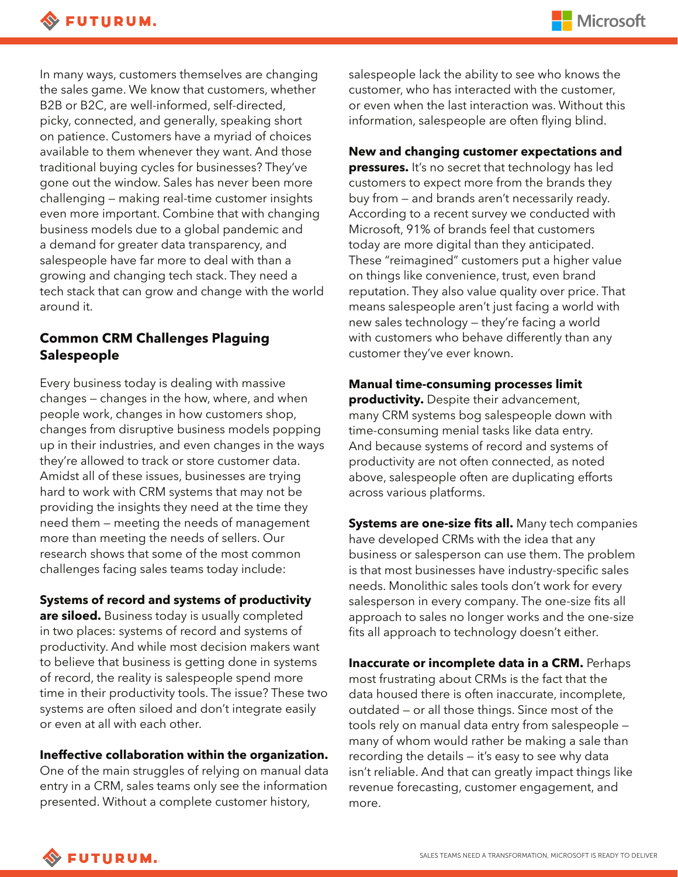In many ways, customers themselves are changing the sales game. We know that customers, whether B2B or B2C, are well-informed, self-directed, picky, connected, and generally, speaking short on patience. Customers have a myriad of choices available to them whenever they want. And those traditional buying cycles for businesses? They've gone out the window. Sales has never been more challenging — making real-time customer insights even more important. Combine that with changing business models due to a global pandemic and a demand for greater data transparency, and salespeople have far more to deal with than a growing and changing tech stack. They need a tech stack that can grow and change with the world around it.

# **Common CRM Challenges Plaguing Salespeople**

Every business today is dealing with massive changes — changes in the how, where, and when people work, changes in how customers shop, changes from disruptive business models popping up in their industries, and even changes in the ways they're allowed to track or store customer data. Amidst all of these issues, businesses are trying hard to work with CRM systems that may not be providing the insights they need at the time they need them — meeting the needs of management more than meeting the needs of sellers. Our research shows that some of the most common challenges facing sales teams today include:

## **Systems of record and systems of productivity**

**are siloed.** Business today is usually completed in two places: systems of record and systems of productivity. And while most decision makers want to believe that business is getting done in systems of record, the reality is salespeople spend more time in their productivity tools. The issue? These two systems are often siloed and don't integrate easily or even at all with each other.

### **Ineffective collaboration within the organization.**

One of the main struggles of relying on manual data entry in a CRM, sales teams only see the information presented. Without a complete customer history,

salespeople lack the ability to see who knows the customer, who has interacted with the customer, or even when the last interaction was. Without this information, salespeople are often flying blind.

## **New and changing customer expectations and**

**pressures.** It's no secret that technology has led customers to expect more from the brands they buy from — and brands aren't necessarily ready. According to a recent survey we conducted with Microsoft, 91% of brands feel that customers today are more digital than they anticipated. These "reimagined" customers put a higher value on things like convenience, trust, even brand reputation. They also value quality over price. That means salespeople aren't just facing a world with new sales technology — they're facing a world with customers who behave differently than any customer they've ever known.

#### **Manual time-consuming processes limit**

**productivity.** Despite their advancement, many CRM systems bog salespeople down with time-consuming menial tasks like data entry. And because systems of record and systems of productivity are not often connected, as noted above, salespeople often are duplicating efforts across various platforms.

**Systems are one-size fits all.** Many tech companies have developed CRMs with the idea that any business or salesperson can use them. The problem is that most businesses have industry-specific sales needs. Monolithic sales tools don't work for every salesperson in every company. The one-size fits all approach to sales no longer works and the one-size fits all approach to technology doesn't either.

**Inaccurate or incomplete data in a CRM.** Perhaps most frustrating about CRMs is the fact that the data housed there is often inaccurate, incomplete, outdated — or all those things. Since most of the tools rely on manual data entry from salespeople many of whom would rather be making a sale than recording the details — it's easy to see why data isn't reliable. And that can greatly impact things like revenue forecasting, customer engagement, and more.